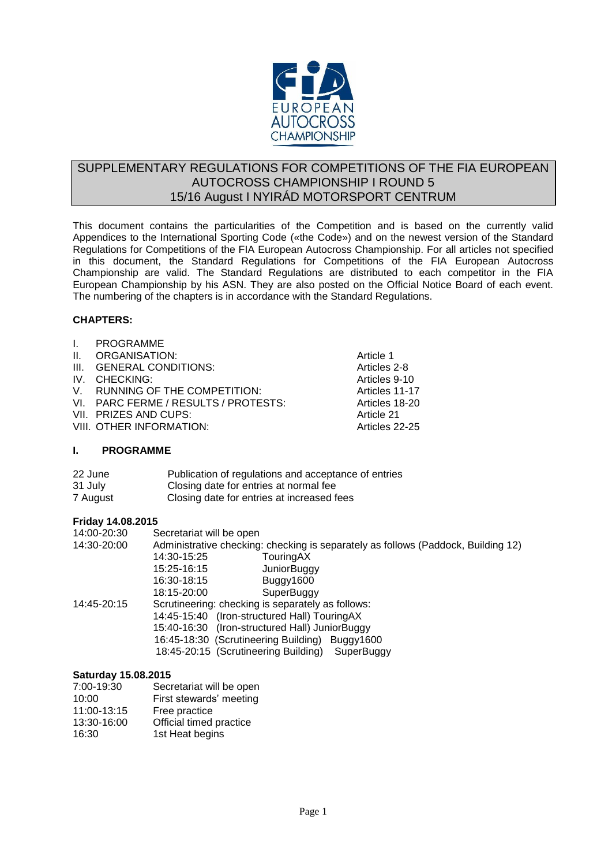

# SUPPLEMENTARY REGULATIONS FOR COMPETITIONS OF THE FIA EUROPEAN AUTOCROSS CHAMPIONSHIP I ROUND 5 15/16 August I NYIRÁD MOTORSPORT CENTRUM

This document contains the particularities of the Competition and is based on the currently valid Appendices to the International Sporting Code («the Code») and on the newest version of the Standard Regulations for Competitions of the FIA European Autocross Championship. For all articles not specified in this document, the Standard Regulations for Competitions of the FIA European Autocross Championship are valid. The Standard Regulations are distributed to each competitor in the FIA European Championship by his ASN. They are also posted on the Official Notice Board of each event. The numbering of the chapters is in accordance with the Standard Regulations.

# **CHAPTERS:**

| $\mathbf{L}$    | <b>PROGRAMME</b>                     |                |
|-----------------|--------------------------------------|----------------|
| $\mathbf{II}$ . | ORGANISATION:                        | Article 1      |
| III.            | <b>GENERAL CONDITIONS:</b>           | Articles 2-8   |
|                 | IV. CHECKING:                        | Articles 9-10  |
|                 | V. RUNNING OF THE COMPETITION:       | Articles 11-17 |
|                 | VI. PARC FERME / RESULTS / PROTESTS: | Articles 18-20 |
|                 | VII. PRIZES AND CUPS:                | Article 21     |
|                 | VIII. OTHER INFORMATION:             | Articles 22-25 |
|                 | <b>PROGRAMME</b>                     |                |

| 22 June  | Publication of regulations and acceptance of entries |
|----------|------------------------------------------------------|
| 31 July  | Closing date for entries at normal fee               |
| 7 August | Closing date for entries at increased fees           |

## **Friday 14.08.2015**

| 14:00-20:30 | Secretariat will be open                                                          |  |  |  |
|-------------|-----------------------------------------------------------------------------------|--|--|--|
| 14:30-20:00 | Administrative checking: checking is separately as follows (Paddock, Building 12) |  |  |  |
|             | 14:30-15:25<br>TouringAX                                                          |  |  |  |
|             | 15:25-16:15<br><b>JuniorBuggy</b>                                                 |  |  |  |
|             | 16:30-18:15<br>Buggy1600                                                          |  |  |  |
|             | 18:15-20:00<br>SuperBuggy                                                         |  |  |  |
| 14:45-20:15 | Scrutineering: checking is separately as follows:                                 |  |  |  |
|             | 14:45-15:40 (Iron-structured Hall) Touring AX                                     |  |  |  |
|             | 15:40-16:30 (Iron-structured Hall) JuniorBuggy                                    |  |  |  |
|             | 16:45-18:30 (Scrutineering Building) Buggy1600                                    |  |  |  |
|             | 18:45-20:15 (Scrutineering Building)<br>SuperBuggy                                |  |  |  |
|             |                                                                                   |  |  |  |

## **Saturday 15.08.2015**

| 7:00-19:30  | Secretariat will be open |
|-------------|--------------------------|
| 10:00       | First stewards' meeting  |
| 11:00-13:15 | Free practice            |
| 13:30-16:00 | Official timed practice  |
| 16:30       | 1st Heat begins          |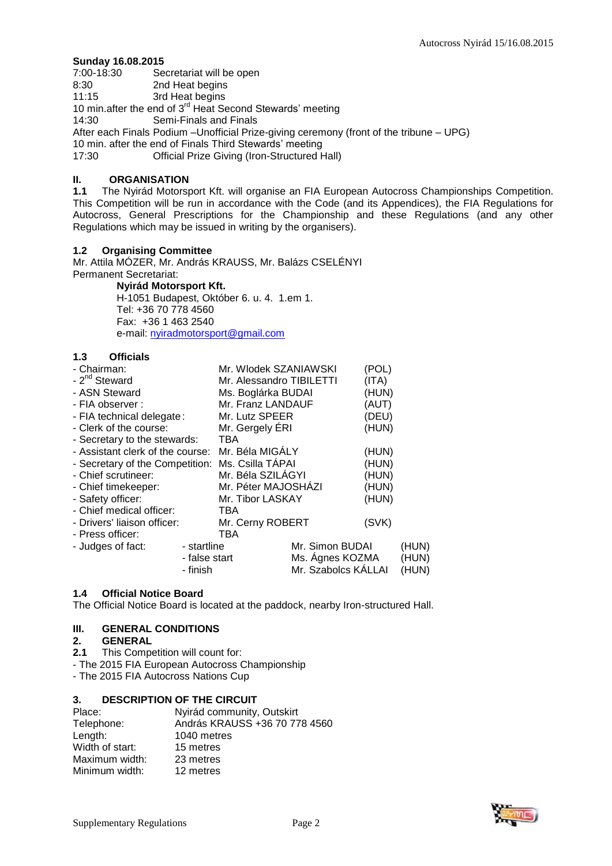# **Sunday 16.08.2015**

7:00-18:30 Secretariat will be open<br>8:30 2nd Heat begins

8:30 2nd Heat begins<br>11:15 3rd Heat begins

3rd Heat begins

10 min.after the end of 3<sup>rd</sup> Heat Second Stewards' meeting

14:30 Semi-Finals and Finals

After each Finals Podium –Unofficial Prize-giving ceremony (front of the tribune – UPG)

10 min. after the end of Finals Third Stewards' meeting<br>17:30 **Cential Prize Giving (Iron-Structured H** 

Official Prize Giving (Iron-Structured Hall)

## **II. ORGANISATION**

**1.1** The Nyirád Motorsport Kft. will organise an FIA European Autocross Championships Competition. This Competition will be run in accordance with the Code (and its Appendices), the FIA Regulations for Autocross, General Prescriptions for the Championship and these Regulations (and any other Regulations which may be issued in writing by the organisers).

## **1.2 Organising Committee**

Mr. Attila MÓZER, Mr. András KRAUSS, Mr. Balázs CSELÉNYI Permanent Secretariat:

**Nyirád Motorsport Kft.** H-1051 Budapest, Október 6. u. 4. 1.em 1. Tel: +36 70 778 4560 Fax: +36 1 463 2540 e-mail: [nyiradmotorsport@gmail.com](mailto:nyiradmotorsport@gmail.com)

## **1.3 Officials**

| - Chairman:                      |               | Mr. Wlodek SZANIAWSKI    |                     | (POL) |       |
|----------------------------------|---------------|--------------------------|---------------------|-------|-------|
| - 2 <sup>nd</sup> Steward        |               | Mr. Alessandro TIBILETTI |                     | (ITA) |       |
| - ASN Steward                    |               | Ms. Boglárka BUDAI       |                     | (HUN) |       |
| - FIA observer :                 |               | Mr. Franz LANDAUF        |                     | (AUT) |       |
| - FIA technical delegate:        |               | Mr. Lutz SPEER           |                     | (DEU) |       |
| - Clerk of the course:           |               | Mr. Gergely ERI          |                     | (HUN) |       |
| - Secretary to the stewards:     |               | TBA                      |                     |       |       |
| - Assistant clerk of the course: |               | Mr. Béla MIGÁLY          |                     | (HUN) |       |
| - Secretary of the Competition:  |               | Ms. Csilla TAPAI         |                     | (HUN) |       |
| - Chief scrutineer:              |               | Mr. Béla SZILÁGYI        |                     | (HUN) |       |
| - Chief timekeeper:              |               | Mr. Péter MAJOSHÁZI      |                     | (HUN) |       |
| - Safety officer:                |               | Mr. Tibor LASKAY         |                     | (HUN) |       |
| - Chief medical officer:         |               | TBA                      |                     |       |       |
| - Drivers' liaison officer:      |               | Mr. Cerny ROBERT         |                     | (SVK) |       |
| - Press officer:                 |               | TBA                      |                     |       |       |
| - Judges of fact:                | - startline   |                          | Mr. Simon BUDAI     |       | (HUN) |
|                                  | - false start |                          | Ms. Agnes KOZMA     |       | (HUN) |
|                                  | - finish      |                          | Mr. Szabolcs KÁLLAI |       | (HUN) |

## **1.4 Official Notice Board**

The Official Notice Board is located at the paddock, nearby Iron-structured Hall.

## **III. GENERAL CONDITIONS**

#### **2. GENERAL**

- **2.1** This Competition will count for:
- The 2015 FIA European Autocross Championship
- The 2015 FIA Autocross Nations Cup

## **3. DESCRIPTION OF THE CIRCUIT**

| Place:          | Nyirád community, Outskirt    |
|-----------------|-------------------------------|
| Telephone:      | András KRAUSS +36 70 778 4560 |
| Length:         | 1040 metres                   |
| Width of start: | 15 metres                     |
| Maximum width:  | 23 metres                     |
| Minimum width:  | 12 metres                     |

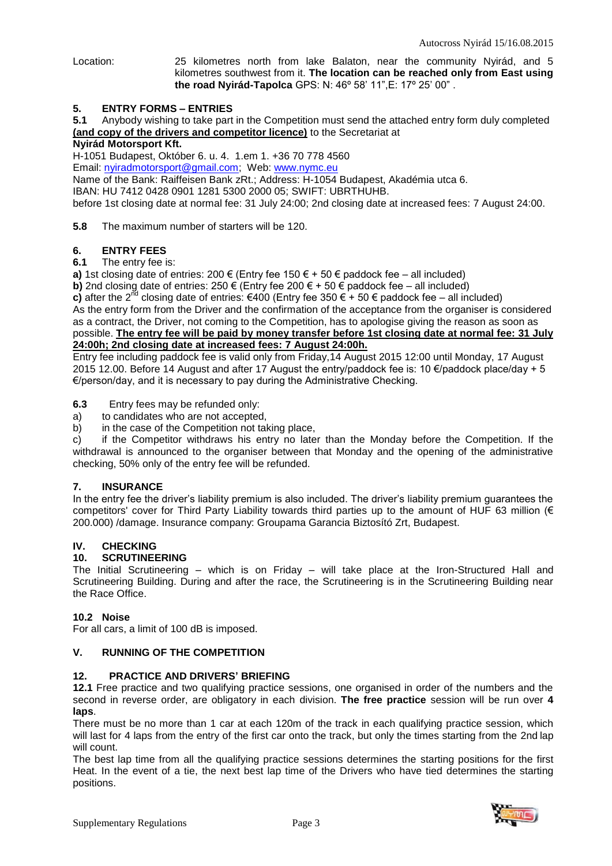Location: 25 kilometres north from lake Balaton, near the community Nyirád, and 5 kilometres southwest from it. **The location can be reached only from East using the road Nyirád-Tapolca** GPS: N: 46º 58' 11",E: 17º 25' 00" .

#### **5. ENTRY FORMS – ENTRIES**

**5.1** Anybody wishing to take part in the Competition must send the attached entry form duly completed **(and copy of the drivers and competitor licence)** to the Secretariat at

#### **Nyirád Motorsport Kft.**

H-1051 Budapest, Október 6. u. 4. 1.em 1. +36 70 778 4560 Email: [nyiradmotorsport@gmail.com;](mailto:nyiradmotorsport@gmail.com?subject=Nyirád%20AX%20EC%202015) Web[: www.nymc.eu](http://www.nymc.eu/)

Name of the Bank: Raiffeisen Bank zRt.; Address: H-1054 Budapest, Akadémia utca 6.

IBAN: HU 7412 0428 0901 1281 5300 2000 05; SWIFT: UBRTHUHB.

before 1st closing date at normal fee: 31 July 24:00; 2nd closing date at increased fees: 7 August 24:00.

**5.8** The maximum number of starters will be 120.

#### **6. ENTRY FEES**

#### **6.1** The entry fee is:

**a)** 1st closing date of entries:  $200 \in$  (Entry fee 150 € + 50  $\in$  paddock fee – all included)

**b)** 2nd closing date of entries: 250  $\epsilon$  (Entry fee 200  $\epsilon$  + 50  $\epsilon$  paddock fee – all included) **c)** after the 2<sup>nd</sup> closing date of entries: €400 (Entry fee 350 € + 50 € paddock fee – all included) As the entry form from the Driver and the confirmation of the acceptance from the organiser is considered as a contract, the Driver, not coming to the Competition, has to apologise giving the reason as soon as possible. **The entry fee will be paid by money transfer before 1st closing date at normal fee: 31 July 24:00h; 2nd closing date at increased fees: 7 August 24:00h.**

Entry fee including paddock fee is valid only from Friday,14 August 2015 12:00 until Monday, 17 August 2015 12.00. Before 14 August and after 17 August the entry/paddock fee is: 10  $\epsilon$ /paddock place/day + 5 €/person/day, and it is necessary to pay during the Administrative Checking.

**6.3** Entry fees may be refunded only:

a) to candidates who are not accepted,

b) in the case of the Competition not taking place,

c) if the Competitor withdraws his entry no later than the Monday before the Competition. If the withdrawal is announced to the organiser between that Monday and the opening of the administrative checking, 50% only of the entry fee will be refunded.

#### **7. INSURANCE**

In the entry fee the driver's liability premium is also included. The driver's liability premium guarantees the competitors' cover for Third Party Liability towards third parties up to the amount of HUF 63 million (€ 200.000) /damage. Insurance company: Groupama Garancia Biztosító Zrt, Budapest.

## **IV. CHECKING**

#### **10. SCRUTINEERING**

The Initial Scrutineering – which is on Friday – will take place at the Iron-Structured Hall and Scrutineering Building. During and after the race, the Scrutineering is in the Scrutineering Building near the Race Office.

#### **10.2 Noise**

For all cars, a limit of 100 dB is imposed.

#### **V. RUNNING OF THE COMPETITION**

## **12. PRACTICE AND DRIVERS' BRIEFING**

**12.1** Free practice and two qualifying practice sessions, one organised in order of the numbers and the second in reverse order, are obligatory in each division. **The free practice** session will be run over **4 laps**.

There must be no more than 1 car at each 120m of the track in each qualifying practice session, which will last for 4 laps from the entry of the first car onto the track, but only the times starting from the 2nd lap will count.

The best lap time from all the qualifying practice sessions determines the starting positions for the first Heat. In the event of a tie, the next best lap time of the Drivers who have tied determines the starting positions.

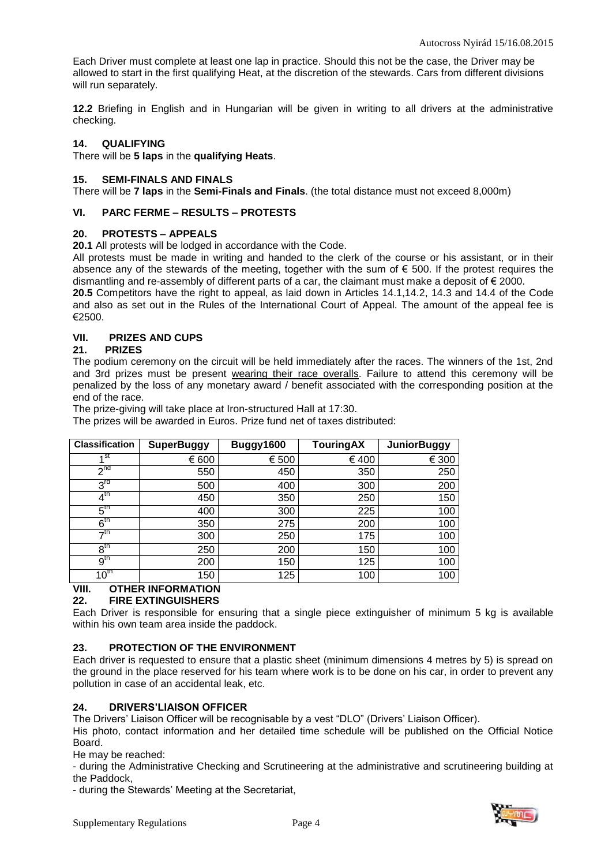Each Driver must complete at least one lap in practice. Should this not be the case, the Driver may be allowed to start in the first qualifying Heat, at the discretion of the stewards. Cars from different divisions will run separately.

**12.2** Briefing in English and in Hungarian will be given in writing to all drivers at the administrative checking.

#### **14. QUALIFYING**

There will be **5 laps** in the **qualifying Heats**.

#### **15. SEMI-FINALS AND FINALS**

There will be **7 laps** in the **Semi-Finals and Finals**. (the total distance must not exceed 8,000m)

## **VI. PARC FERME – RESULTS – PROTESTS**

#### **20. PROTESTS – APPEALS**

**20.1** All protests will be lodged in accordance with the Code.

All protests must be made in writing and handed to the clerk of the course or his assistant, or in their absence any of the stewards of the meeting, together with the sum of € 500. If the protest requires the dismantling and re-assembly of different parts of a car, the claimant must make a deposit of  $\epsilon$  2000.

**20.5** Competitors have the right to appeal, as laid down in Articles 14.1,14.2, 14.3 and 14.4 of the Code and also as set out in the Rules of the International Court of Appeal. The amount of the appeal fee is €2500.

## **VII. PRIZES AND CUPS**

#### **21. PRIZES**

The podium ceremony on the circuit will be held immediately after the races. The winners of the 1st, 2nd and 3rd prizes must be present wearing their race overalls. Failure to attend this ceremony will be penalized by the loss of any monetary award / benefit associated with the corresponding position at the end of the race.

The prize-giving will take place at Iron-structured Hall at 17:30.

The prizes will be awarded in Euros. Prize fund net of taxes distributed:

| <b>Classification</b> | <b>SuperBuggy</b> | Buggy1600 | <b>TouringAX</b> | <b>JuniorBuggy</b> |
|-----------------------|-------------------|-----------|------------------|--------------------|
| 4 <sup>St</sup>       | € 600             | € 500     | € 400            | € 300              |
| 2 <sub>nd</sub>       | 550               | 450       | 350              | 250                |
| $3^{rd}$              | 500               | 400       | 300              | 200                |
| $4^{\text{th}}$       | 450               | 350       | 250              | 150                |
| 5 <sup>th</sup>       | 400               | 300       | 225              | 100                |
| 6 <sup>th</sup>       | 350               | 275       | 200              | 100                |
| →th                   | 300               | 250       | 175              | 100                |
| $8^{\text{th}}$       | 250               | 200       | 150              | 100                |
| $9^{\mathsf{tn}}$     | 200               | 150       | 125              | 100                |
| $10^{\text{th}}$      | 150               | 125       | 100              | 100                |

# **VIII. OTHER INFORMATION**

## **22. FIRE EXTINGUISHERS**

Each Driver is responsible for ensuring that a single piece extinguisher of minimum 5 kg is available within his own team area inside the paddock.

## **23. PROTECTION OF THE ENVIRONMENT**

Each driver is requested to ensure that a plastic sheet (minimum dimensions 4 metres by 5) is spread on the ground in the place reserved for his team where work is to be done on his car, in order to prevent any pollution in case of an accidental leak, etc.

## **24. DRIVERS'LIAISON OFFICER**

The Drivers' Liaison Officer will be recognisable by a vest "DLO" (Drivers' Liaison Officer).

His photo, contact information and her detailed time schedule will be published on the Official Notice Board.

He may be reached:

- during the Administrative Checking and Scrutineering at the administrative and scrutineering building at the Paddock,

- during the Stewards' Meeting at the Secretariat,